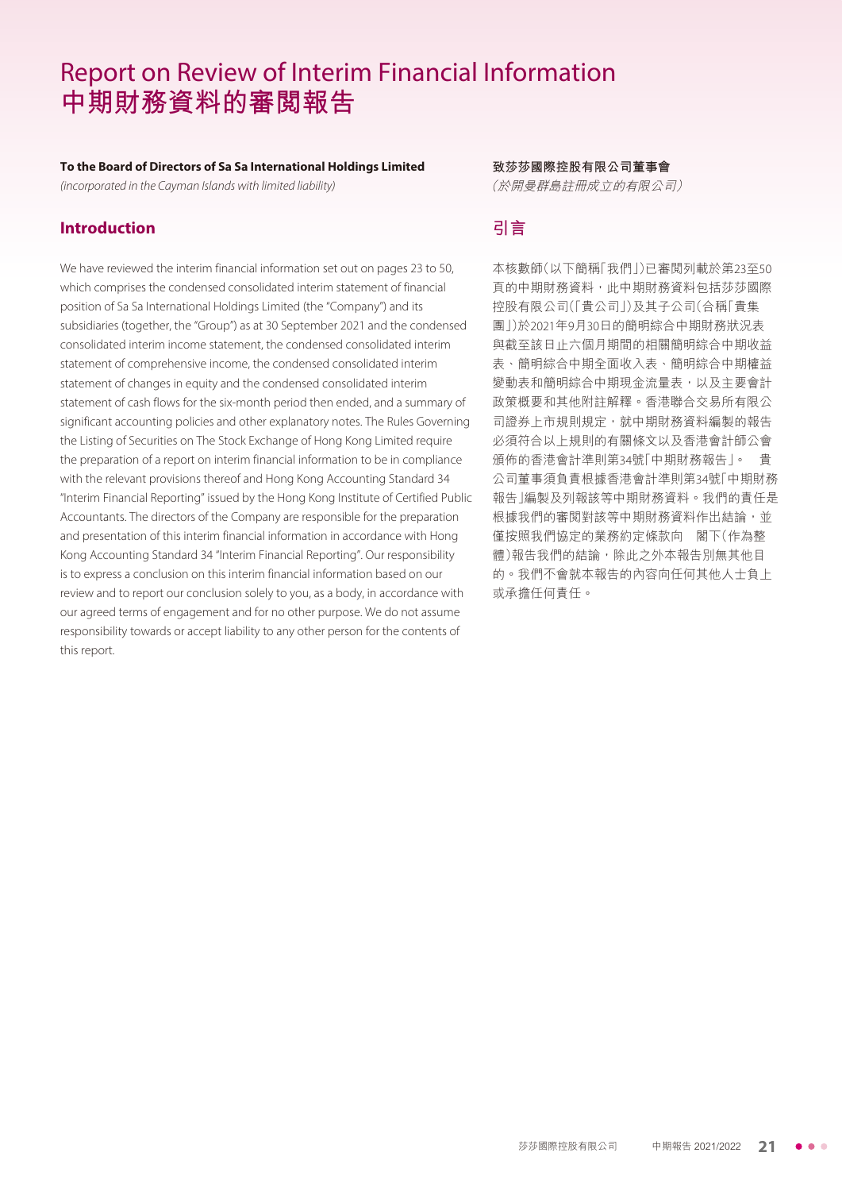# Report on Review of Interim Financial Information **中期財務資料的審閱報告**

#### **To the Board of Directors of Sa Sa International Holdings Limited**

(incorporated in the Cayman Islands with limited liability)

## **Introduction**

We have reviewed the interim financial information set out on pages 23 to 50, which comprises the condensed consolidated interim statement of financial position of Sa Sa International Holdings Limited (the "Company") and its subsidiaries (together, the "Group") as at 30 September 2021 and the condensed consolidated interim income statement, the condensed consolidated interim statement of comprehensive income, the condensed consolidated interim statement of changes in equity and the condensed consolidated interim statement of cash flows for the six-month period then ended, and a summary of significant accounting policies and other explanatory notes. The Rules Governing the Listing of Securities on The Stock Exchange of Hong Kong Limited require the preparation of a report on interim financial information to be in compliance with the relevant provisions thereof and Hong Kong Accounting Standard 34 "Interim Financial Reporting" issued by the Hong Kong Institute of Certified Public Accountants. The directors of the Company are responsible for the preparation and presentation of this interim financial information in accordance with Hong Kong Accounting Standard 34 "Interim Financial Reporting". Our responsibility is to express a conclusion on this interim financial information based on our review and to report our conclusion solely to you, as a body, in accordance with our agreed terms of engagement and for no other purpose. We do not assume responsibility towards or accept liability to any other person for the contents of this report.

## **致莎莎國際控股有限公司董事會**

(於開曼群島註冊成立的有限公司)

# **引言**

本核數師(以下簡稱「我們」)已審閱列載於第23至50 頁的中期財務資料,此中期財務資料包括莎莎國際 控股有限公司(「貴公司」)及其子公司(合稱「貴集 團」)於2021年9月30日的簡明綜合中期財務狀況表 與截至該日止六個月期間的相關簡明綜合中期收益 表、簡明綜合中期全面收入表、簡明綜合中期權益 變動表和簡明綜合中期現金流量表,以及主要會計 政策概要和其他附註解釋。香港聯合交易所有限公 司證券上市規則規定,就中期財務資料編製的報告 必須符合以上規則的有關條文以及香港會計師公會 頒佈的香港會計準則第34號「中期財務報告」。 貴 公司董事須負責根據香港會計準則第34號「中期財務 報告」編製及列報該等中期財務資料。我們的責任是 根據我們的審閲對該等中期財務資料作出結論,並 僅按照我們協定的業務約定條款向 閣下(作為整 體)報告我們的結論,除此之外本報告別無其他目 的。我們不會就本報告的內容向任何其他人士負上 或承擔任何責任。